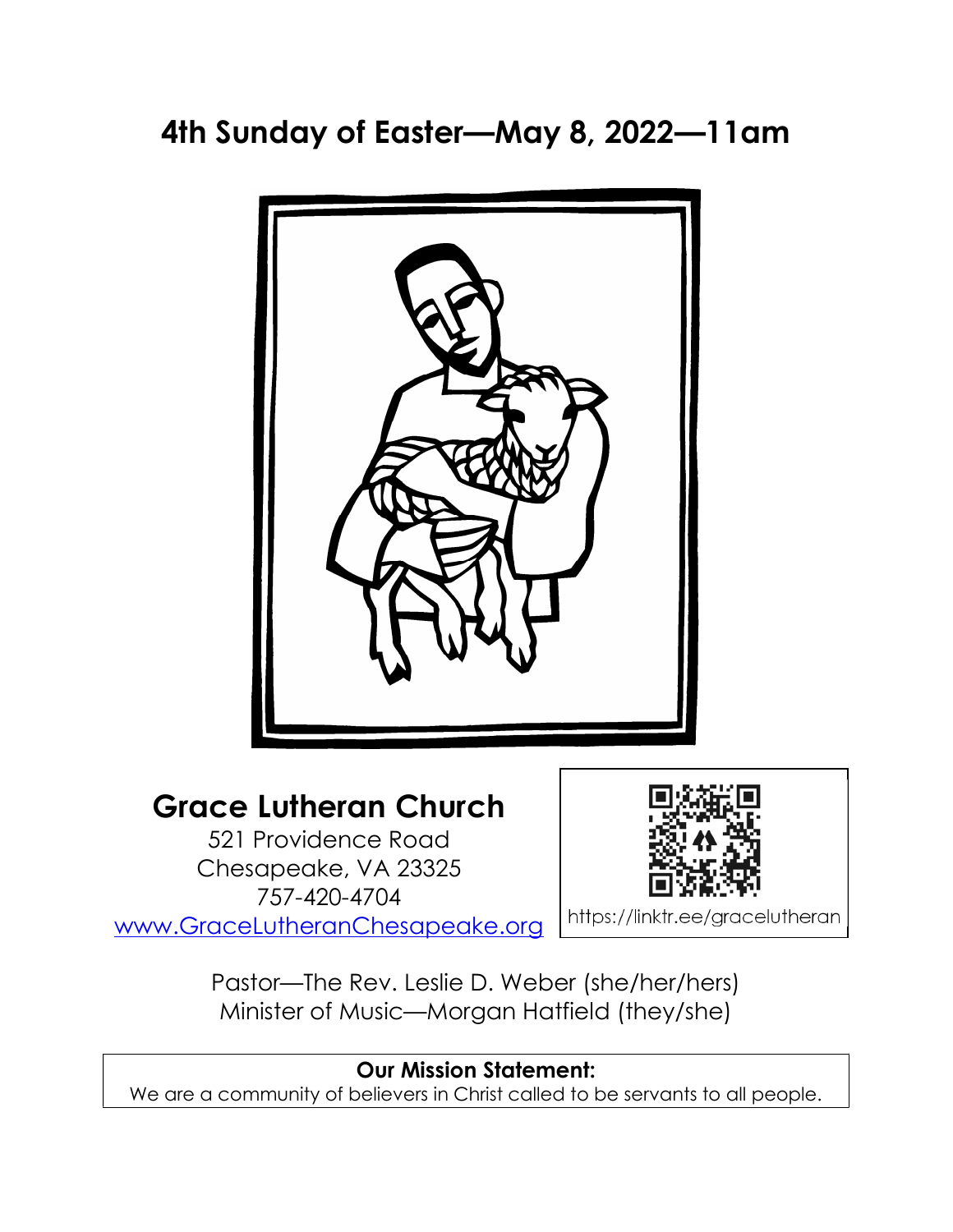4th Sunday of Easter—May 8, 2022—11am



# Grace Lutheran Church

521 Providence Road Chesapeake, VA 23325 757-420-4704 www.GraceLutheranChesapeake.org



https://linktr.ee/gracelutheran

Pastor—The Rev. Leslie D. Weber (she/her/hers) Minister of Music—Morgan Hatfield (they/she)

# Our Mission Statement: We are a community of believers in Christ called to be servants to all people.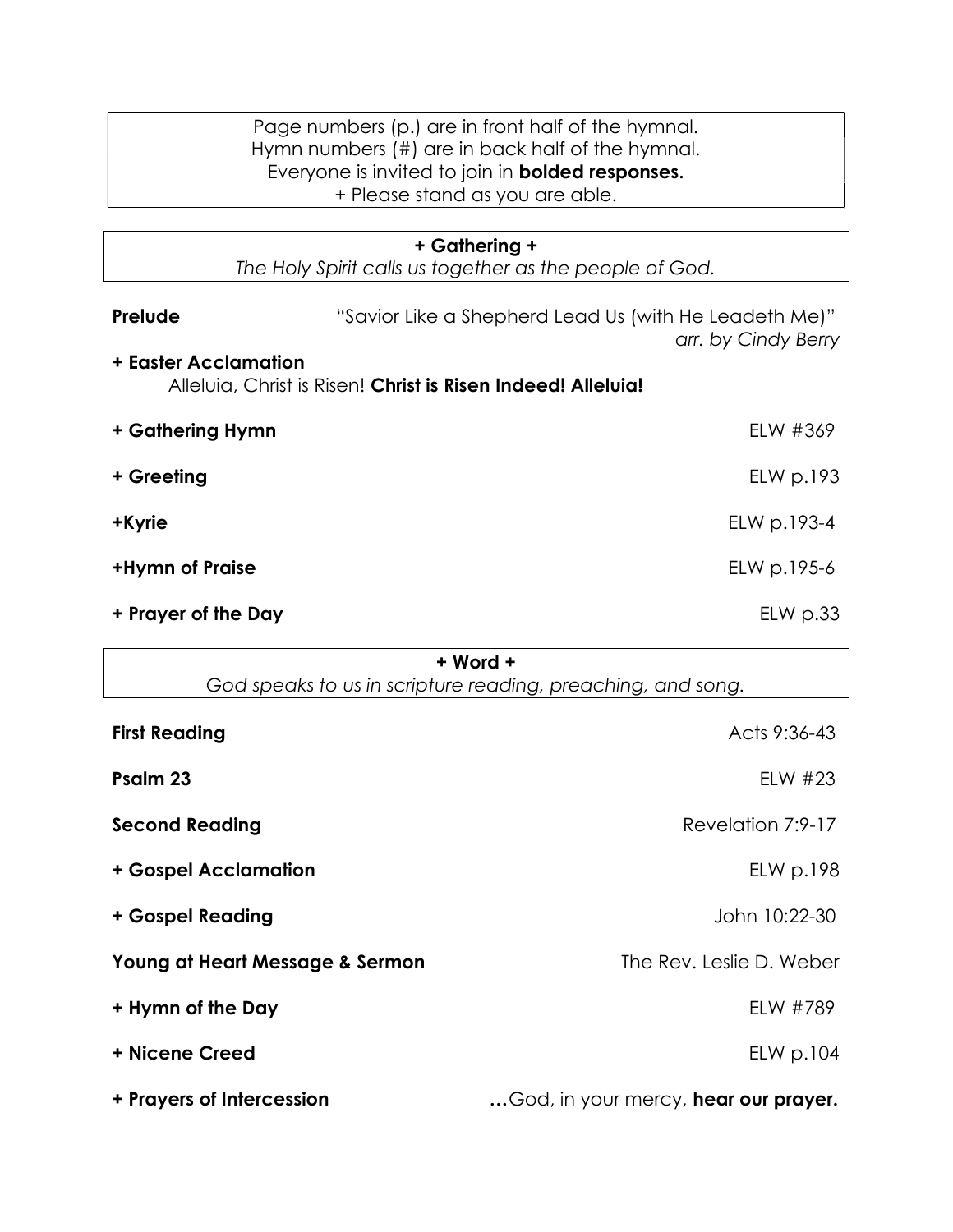| Page numbers (p.) are in front half of the hymnal.      |
|---------------------------------------------------------|
| Hymn numbers (#) are in back half of the hymnal.        |
| Everyone is invited to join in <b>bolded responses.</b> |
| + Please stand as you are able.                         |

| + Gathering +<br>The Holy Spirit calls us together as the people of God. |                                                              |                     |  |
|--------------------------------------------------------------------------|--------------------------------------------------------------|---------------------|--|
| Prelude<br><b>+ Easter Acclamation</b>                                   | "Savior Like a Shepherd Lead Us (with He Leadeth Me)"        | arr. by Cindy Berry |  |
|                                                                          | Alleluia, Christ is Risen! Christ is Risen Indeed! Alleluia! |                     |  |
| + Gathering Hymn                                                         |                                                              | ELW #369            |  |
| + Greeting                                                               |                                                              | ELW p.193           |  |
| +Kyrie                                                                   |                                                              | ELW p.193-4         |  |
| <b>+Hymn of Praise</b>                                                   |                                                              | ELW p.195-6         |  |
| + Prayer of the Day                                                      |                                                              | $EL$ p.33           |  |
|                                                                          |                                                              |                     |  |

+ Word +

| God speaks to us in scripture reading, preaching, and song. |                                             |  |
|-------------------------------------------------------------|---------------------------------------------|--|
| <b>First Reading</b>                                        | Acts 9:36-43                                |  |
| Psalm 23                                                    | ELW $#23$                                   |  |
| <b>Second Reading</b>                                       | Revelation 7:9-17                           |  |
| + Gospel Acclamation                                        | ELW p.198                                   |  |
| + Gospel Reading                                            | John 10:22-30                               |  |
| Young at Heart Message & Sermon                             | The Rev. Leslie D. Weber                    |  |
| + Hymn of the Day                                           | ELW #789                                    |  |
| + Nicene Creed                                              | ELW p.104                                   |  |
| + Prayers of Intercession                                   | God, in your mercy, <b>hear our prayer.</b> |  |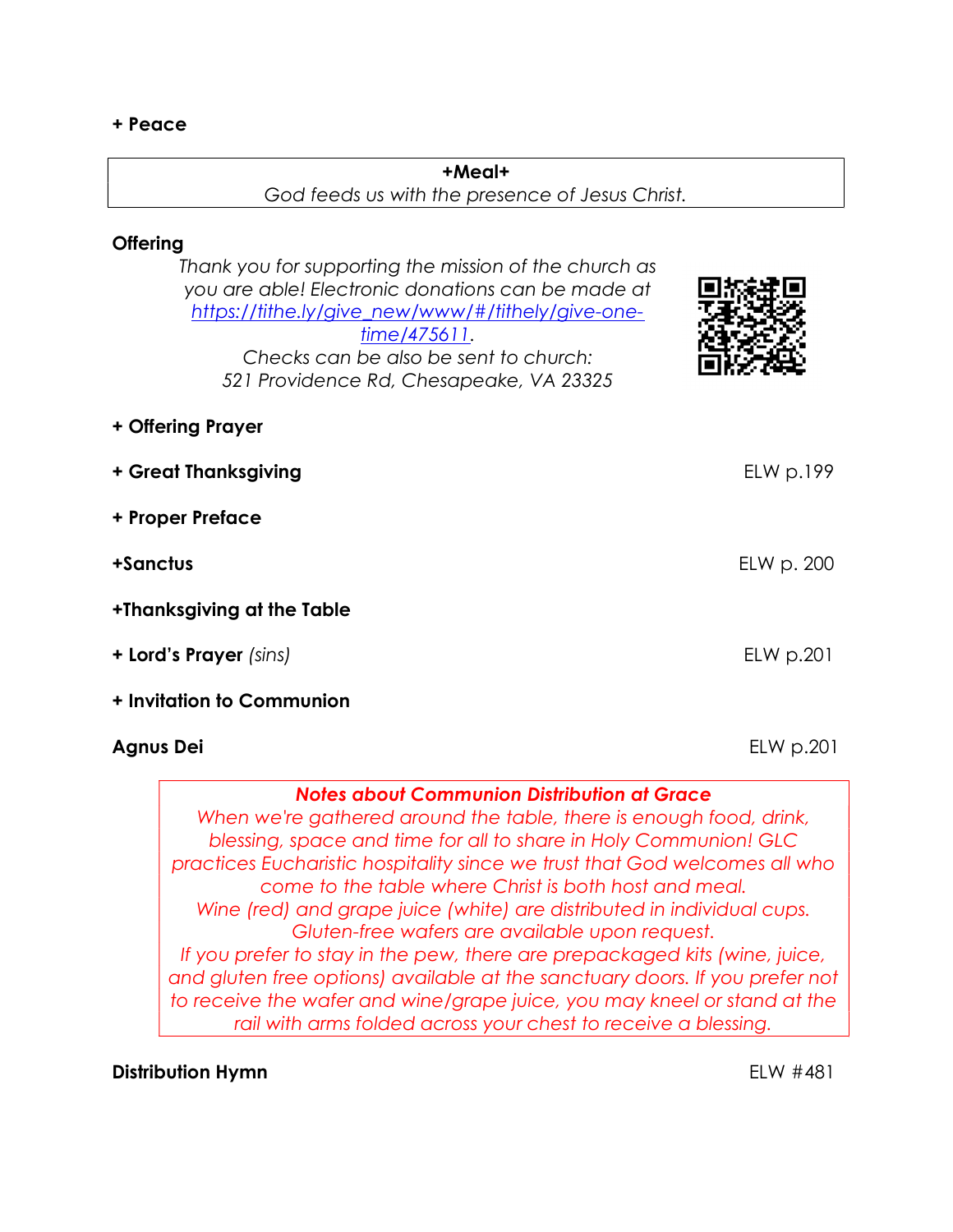#### + Peace

#### +Meal+

## God feeds us with the presence of Jesus Christ.

# **Offering**

| Thank you for supporting the mission of the church as<br>you are able! Electronic donations can be made at<br>https://tithe.ly/give_new/www/#/tithely/give-one-<br>$time/475611$ .<br>Checks can be also be sent to church:<br>521 Providence Rd, Chesapeake, VA 23325 |                                   |
|------------------------------------------------------------------------------------------------------------------------------------------------------------------------------------------------------------------------------------------------------------------------|-----------------------------------|
| + Offering Prayer                                                                                                                                                                                                                                                      |                                   |
| + Great Thanksgiving                                                                                                                                                                                                                                                   | E <sub>L</sub> W <sub>D.199</sub> |
| + Proper Preface                                                                                                                                                                                                                                                       |                                   |
| +Sanctus                                                                                                                                                                                                                                                               | ELW p. 200                        |
| +Thanksgiving at the Table                                                                                                                                                                                                                                             |                                   |
| + Lord's Prayer (sins)                                                                                                                                                                                                                                                 | ELW p.201                         |
| + Invitation to Communion                                                                                                                                                                                                                                              |                                   |
| Agnus Dei                                                                                                                                                                                                                                                              | $EL$ p.201                        |

#### Notes about Communion Distribution at Grace

When we're gathered around the table, there is enough food, drink, blessing, space and time for all to share in Holy Communion! GLC practices Eucharistic hospitality since we trust that God welcomes all who come to the table where Christ is both host and meal. Wine (red) and grape juice (white) are distributed in individual cups. Gluten-free wafers are available upon request. If you prefer to stay in the pew, there are prepackaged kits (wine, juice, and gluten free options) available at the sanctuary doors. If you prefer not to receive the wafer and wine/grape juice, you may kneel or stand at the rail with arms folded across your chest to receive a blessing.

# Distribution Hymn **ELW #481**